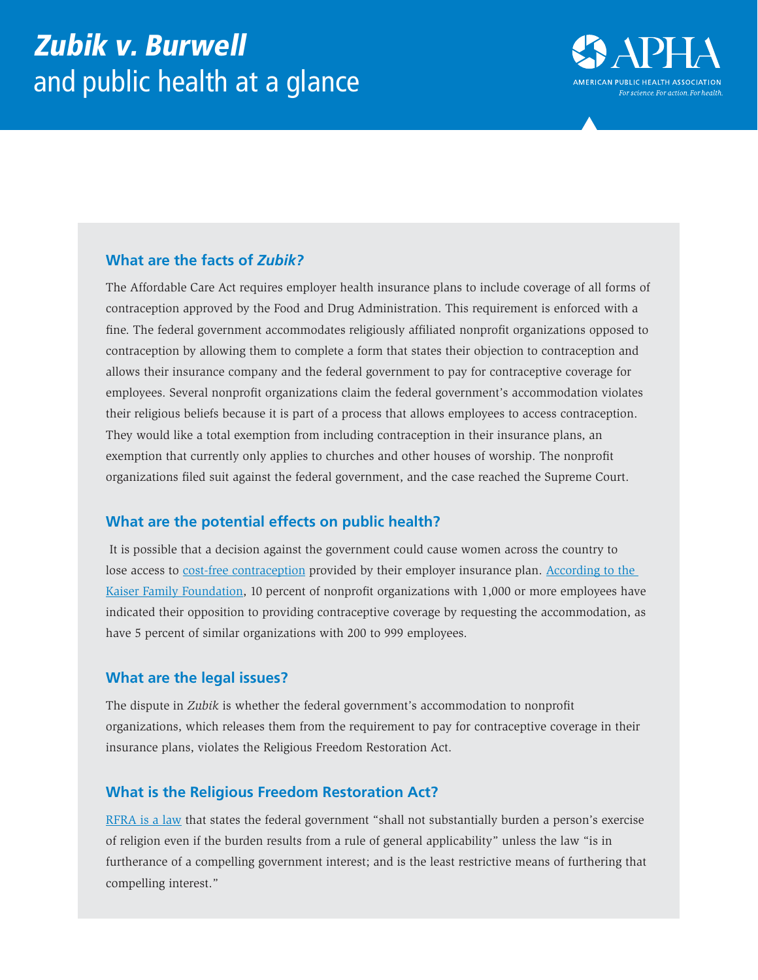

### **What are the facts of** *Zubik?*

The Affordable Care Act requires employer health insurance plans to include coverage of all forms of contraception approved by the Food and Drug Administration. This requirement is enforced with a fine. The federal government accommodates religiously affiliated nonprofit organizations opposed to contraception by allowing them to complete a form that states their objection to contraception and allows their insurance company and the federal government to pay for contraceptive coverage for employees. Several nonprofit organizations claim the federal government's accommodation violates their religious beliefs because it is part of a process that allows employees to access contraception. They would like a total exemption from including contraception in their insurance plans, an exemption that currently only applies to churches and other houses of worship. The nonprofit organizations filed suit against the federal government, and the case reached the Supreme Court.

#### **What are the potential effects on public health?**

 It is possible that a decision against the government could cause women across the country to lose access to [cost-free contraception](http://kff.org/health-reform/fact-sheet/preventive-services-covered-by-private-health-plans/) provided by their employer insurance plan. According to the [Kaiser Family Foundation](http://kff.org/womens-health-policy/issue-brief/contraceptive-coverage-at-the-supreme-court-zubik-v-burwell-does-the-law-accommodate-or-burden-nonprofits-religious-beliefs/), 10 percent of nonprofit organizations with 1,000 or more employees have indicated their opposition to providing contraceptive coverage by requesting the accommodation, as have 5 percent of similar organizations with 200 to 999 employees.

# **What are the legal issues?**

The dispute in *Zubik* is whether the federal government's accommodation to nonprofit organizations, which releases them from the requirement to pay for contraceptive coverage in their insurance plans, violates the Religious Freedom Restoration Act.

# **What is the Religious Freedom Restoration Act?**

[RFRA is a law](https://www.law.cornell.edu/uscode/text/42/2000bb-1) that states the federal government "shall not substantially burden a person's exercise of religion even if the burden results from a rule of general applicability" unless the law "is in furtherance of a compelling government interest; and is the least restrictive means of furthering that compelling interest."